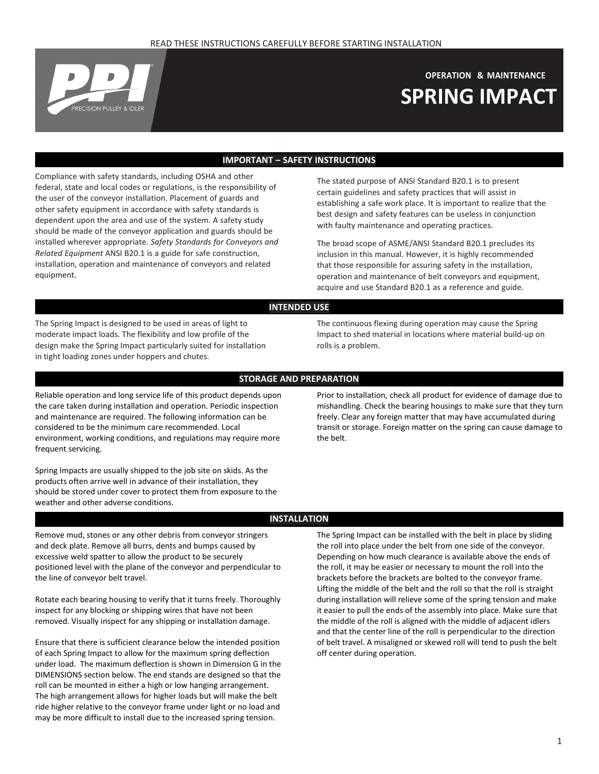

# **OPERATION & MAINTENANCE SPRING IMPACT**

## **IMPORTANT – SAFETY INSTRUCTIONS**

Compliance with safety standards, including OSHA and other federal, state and local codes or regulations, is the responsibility of the user of the conveyor installation. Placement of guards and other safety equipment in accordance with safety standards is dependent upon the area and use of the system. A safety study should be made of the conveyor application and guards should be installed wherever appropriate. *Safety Standards for Conveyors and Related Equipment* ANSI B20.1 is a guide for safe construction, installation, operation and maintenance of conveyors and related equipment.

The stated purpose of ANSI Standard B20.1 is to present certain guidelines and safety practices that will assist in establishing a safe work place. It is important to realize that the best design and safety features can be useless in conjunction with faulty maintenance and operating practices.

The broad scope of ASME/ANSI Standard B20.1 precludes its inclusion in this manual. However, it is highly recommended that those responsible for assuring safety in the installation, operation and maintenance of belt conveyors and equipment, acquire and use Standard B20.1 as a reference and guide.

### **INTENDED USE**

The Spring Impact is designed to be used in areas of light to moderate impact loads. The flexibility and low profile of the design make the Spring Impact particularly suited for installation in tight loading zones under hoppers and chutes.

The continuous flexing during operation may cause the Spring Impact to shed material in locations where material build-up on rolls is a problem.

#### **STORAGE AND PREPARATION**

Reliable operation and long service life of this product depends upon the care taken during installation and operation. Periodic inspection and maintenance are required. The following information can be considered to be the minimum care recommended. Local environment, working conditions, and regulations may require more frequent servicing.

Spring Impacts are usually shipped to the job site on skids. As the products often arrive well in advance of their installation, they should be stored under cover to protect them from exposure to the weather and other adverse conditions.

Prior to installation, check all product for evidence of damage due to mishandling. Check the bearing housings to make sure that they turn freely. Clear any foreign matter that may have accumulated during transit or storage. Foreign matter on the spring can cause damage to the belt.

### **INSTALLATION**

Remove mud, stones or any other debris from conveyor stringers and deck plate. Remove all burrs, dents and bumps caused by excessive weld spatter to allow the product to be securely positioned level with the plane of the conveyor and perpendicular to the line of conveyor belt travel.

Rotate each bearing housing to verify that it turns freely. Thoroughly inspect for any blocking or shipping wires that have not been removed. Visually inspect for any shipping or installation damage.

Ensure that there is sufficient clearance below the intended position of each Spring Impact to allow for the maximum spring deflection under load. The maximum deflection is shown in Dimension G in the DIMENSIONS section below. The end stands are designed so that the roll can be mounted in either a high or low hanging arrangement. The high arrangement allows for higher loads but will make the belt ride higher relative to the conveyor frame under light or no load and may be more difficult to install due to the increased spring tension.

The Spring Impact can be installed with the belt in place by sliding the roll into place under the belt from one side of the conveyor. Depending on how much clearance is available above the ends of the roll, it may be easier or necessary to mount the roll into the brackets before the brackets are bolted to the conveyor frame. Lifting the middle of the belt and the roll so that the roll is straight during installation will relieve some of the spring tension and make it easier to pull the ends of the assembly into place. Make sure that the middle of the roll is aligned with the middle of adjacent idlers and that the center line of the roll is perpendicular to the direction of belt travel. A misaligned or skewed roll will tend to push the belt off center during operation.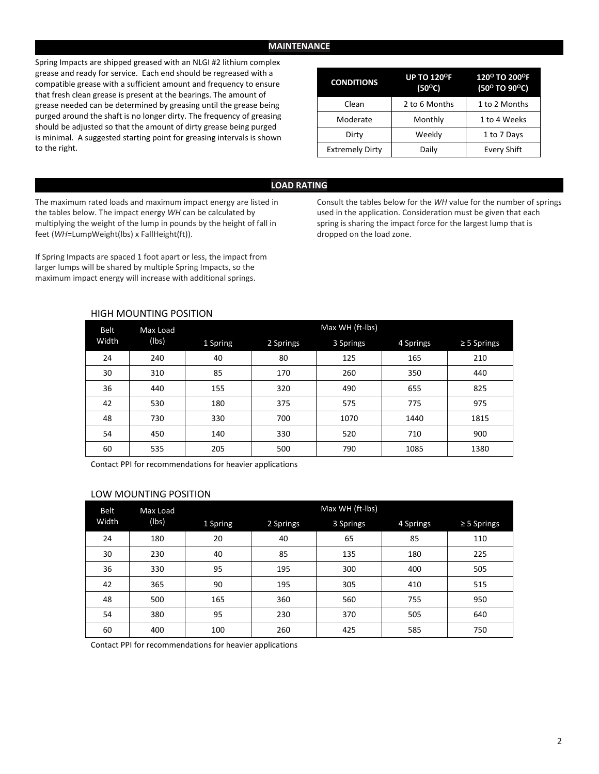#### **MAINTENANCE**

Spring Impacts are shipped greased with an NLGI #2 lithium complex grease and ready for service. Each end should be regreased with a compatible grease with a sufficient amount and frequency to ensure that fresh clean grease is present at the bearings. The amount of grease needed can be determined by greasing until the grease being purged around the shaft is no longer dirty. The frequency of greasing should be adjusted so that the amount of dirty grease being purged is minimal. A suggested starting point for greasing intervals is shown to the right.

| <b>CONDITIONS</b>      | <b>UP TO 120<sup>°</sup>F</b><br>$(50^{\circ}C)$ | 120° TO 200°F<br>(50° TO 90°C) |  |  |
|------------------------|--------------------------------------------------|--------------------------------|--|--|
| Clean                  | 2 to 6 Months                                    | 1 to 2 Months                  |  |  |
| Moderate               | Monthly                                          | 1 to 4 Weeks                   |  |  |
| Dirty                  | Weekly                                           | 1 to 7 Days                    |  |  |
| <b>Extremely Dirty</b> | Daily                                            | Every Shift                    |  |  |

#### **LOAD RATING**

The maximum rated loads and maximum impact energy are listed in the tables below. The impact energy *WH* can be calculated by multiplying the weight of the lump in pounds by the height of fall in feet (*WH*=LumpWeight(lbs) x FallHeight(ft)).

If Spring Impacts are spaced 1 foot apart or less, the impact from larger lumps will be shared by multiple Spring Impacts, so the maximum impact energy will increase with additional springs.

Consult the tables below for the *WH* value for the number of springs used in the application. Consideration must be given that each spring is sharing the impact force for the largest lump that is dropped on the load zone.

### HIGH MOUNTING POSITION

| Belt<br>Width | Max Load<br>(lbs) | Max WH (ft-lbs) |           |           |           |                  |  |  |  |
|---------------|-------------------|-----------------|-----------|-----------|-----------|------------------|--|--|--|
|               |                   | 1 Spring        | 2 Springs | 3 Springs | 4 Springs | $\geq$ 5 Springs |  |  |  |
| 24            | 240               | 40              | 80        | 125       | 165       | 210              |  |  |  |
| 30            | 310               | 85              | 170       | 260       | 350       | 440              |  |  |  |
| 36            | 440               | 155             | 320       | 490       | 655       | 825              |  |  |  |
| 42            | 530               | 180             | 375       | 575       | 775       | 975              |  |  |  |
| 48            | 730               | 330             | 700       | 1070      | 1440      | 1815             |  |  |  |
| 54            | 450               | 140             | 330       | 520       | 710       | 900              |  |  |  |
| 60            | 535               | 205             | 500       | 790       | 1085      | 1380             |  |  |  |

Contact PPI for recommendations for heavier applications

#### LOW MOUNTING POSITION

| <b>Belt</b><br>Width | Max Load<br>(Ibs) | Max WH (ft-lbs) |           |           |           |                  |  |  |  |
|----------------------|-------------------|-----------------|-----------|-----------|-----------|------------------|--|--|--|
|                      |                   | 1 Spring        | 2 Springs | 3 Springs | 4 Springs | $\geq$ 5 Springs |  |  |  |
| 24                   | 180               | 20              | 40        | 65        | 85        | 110              |  |  |  |
| 30                   | 230               | 40              | 85        | 135       | 180       | 225              |  |  |  |
| 36                   | 330               | 95              | 195       | 300       | 400       | 505              |  |  |  |
| 42                   | 365               | 90              | 195       | 305       | 410       | 515              |  |  |  |
| 48                   | 500               | 165             | 360       | 560       | 755       | 950              |  |  |  |
| 54                   | 380               | 95              | 230       | 370       | 505       | 640              |  |  |  |
| 60                   | 400               | 100             | 260       | 425       | 585       | 750              |  |  |  |

Contact PPI for recommendations for heavier applications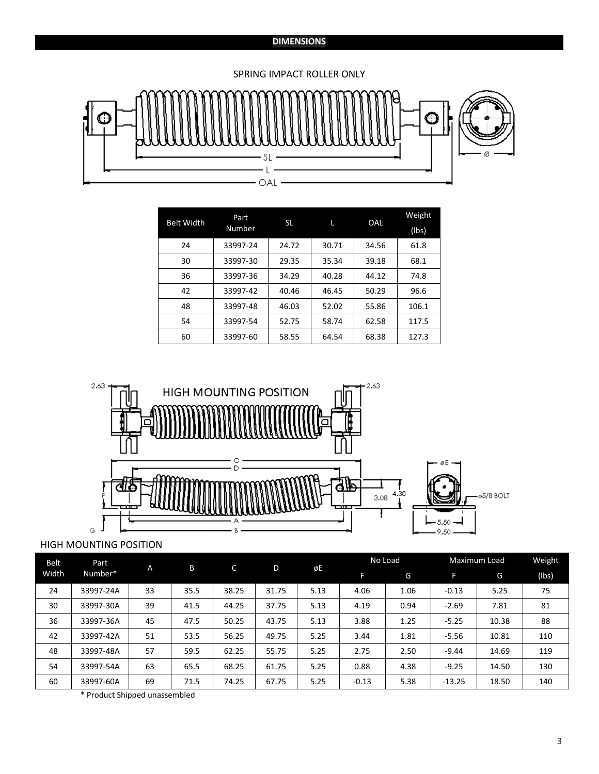# **DIMENSIONS**

# SPRING IMPACT ROLLER ONLY



| <b>Belt Width</b> | Part<br>Number | <b>SL</b> |       | OAL   | Weight<br>(lbs) |
|-------------------|----------------|-----------|-------|-------|-----------------|
| 24                | 33997-24       | 24.72     | 30.71 | 34.56 | 61.8            |
| 30                | 33997-30       | 29.35     | 35.34 | 39.18 | 68.1            |
| 36                | 33997-36       | 34.29     | 40.28 | 44.12 | 74.8            |
| 42                | 33997-42       | 40.46     | 46.45 | 50.29 | 96.6            |
| 48                | 33997-48       | 46.03     | 52.02 | 55.86 | 106.1           |
| 54                | 33997-54       | 52.75     | 58.74 | 62.58 | 117.5           |
| 60                | 33997-60       | 58.55     | 64.54 | 68.38 | 127.3           |



# HIGH MOUNTING POSITION

| <b>Belt</b><br>Part | A         | B  | C    | D     | øE    | No Load |         | Maximum Load |          | Weight |       |
|---------------------|-----------|----|------|-------|-------|---------|---------|--------------|----------|--------|-------|
| Width               | Number*   |    |      |       |       |         |         | G            | F        | G      | (Ibs) |
| 24                  | 33997-24A | 33 | 35.5 | 38.25 | 31.75 | 5.13    | 4.06    | 1.06         | $-0.13$  | 5.25   | 75    |
| 30                  | 33997-30A | 39 | 41.5 | 44.25 | 37.75 | 5.13    | 4.19    | 0.94         | $-2.69$  | 7.81   | 81    |
| 36                  | 33997-36A | 45 | 47.5 | 50.25 | 43.75 | 5.13    | 3.88    | 1.25         | $-5.25$  | 10.38  | 88    |
| 42                  | 33997-42A | 51 | 53.5 | 56.25 | 49.75 | 5.25    | 3.44    | 1.81         | $-5.56$  | 10.81  | 110   |
| 48                  | 33997-48A | 57 | 59.5 | 62.25 | 55.75 | 5.25    | 2.75    | 2.50         | $-9.44$  | 14.69  | 119   |
| 54                  | 33997-54A | 63 | 65.5 | 68.25 | 61.75 | 5.25    | 0.88    | 4.38         | $-9.25$  | 14.50  | 130   |
| 60                  | 33997-60A | 69 | 71.5 | 74.25 | 67.75 | 5.25    | $-0.13$ | 5.38         | $-13.25$ | 18.50  | 140   |

\* Product Shipped unassembled